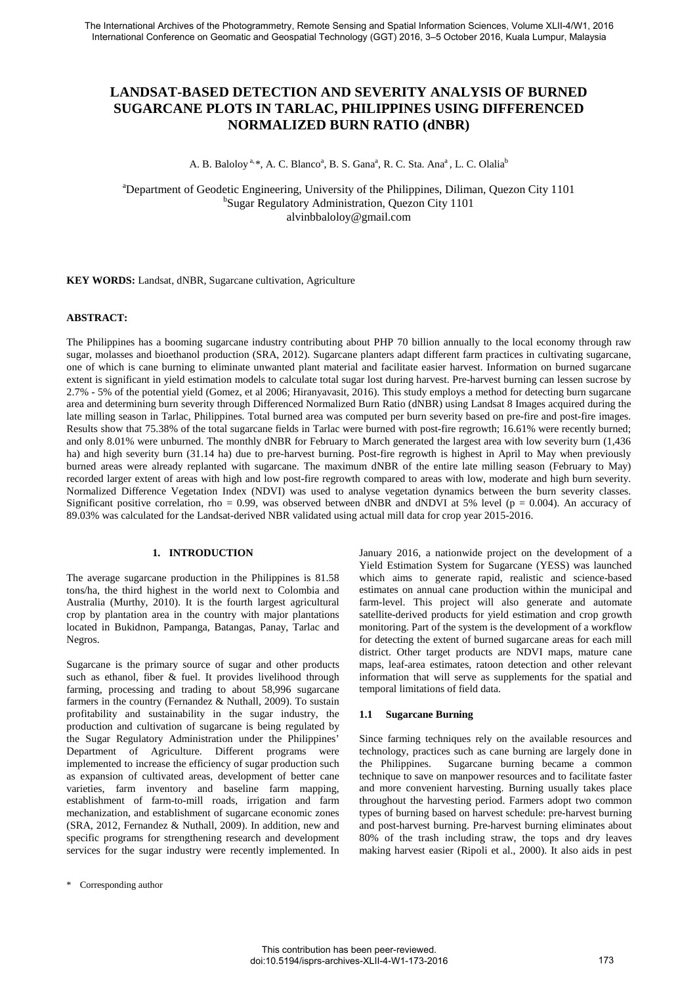# **LANDSAT-BASED DETECTION AND SEVERITY ANALYSIS OF BURNED SUGARCANE PLOTS IN TARLAC, PHILIPPINES USING DIFFERENCED NORMALIZED BURN RATIO (dNBR)**

A. B. Baloloy<sup>a, \*</sup>, A. C. Blanco<sup>a</sup>, B. S. Gana<sup>a</sup>, R. C. Sta. Ana<sup>a</sup>, L. C. Olalia<sup>b</sup>

<sup>a</sup>Department of Geodetic Engineering, University of the Philippines, Diliman, Quezon City 1101<br><sup>b</sup>Sugar Begulatory Administration, Quezon City 1101 <sup>b</sup>Sugar Regulatory Administration, Quezon City 1101 alvinbbaloloy@gmail.com

**KEY WORDS:** Landsat, dNBR, Sugarcane cultivation, Agriculture

## **ABSTRACT:**

The Philippines has a booming sugarcane industry contributing about PHP 70 billion annually to the local economy through raw sugar, molasses and bioethanol production (SRA, 2012). Sugarcane planters adapt different farm practices in cultivating sugarcane, one of which is cane burning to eliminate unwanted plant material and facilitate easier harvest. Information on burned sugarcane extent is significant in yield estimation models to calculate total sugar lost during harvest. Pre-harvest burning can lessen sucrose by 2.7% - 5% of the potential yield (Gomez, et al 2006; Hiranyavasit, 2016). This study employs a method for detecting burn sugarcane area and determining burn severity through Differenced Normalized Burn Ratio (dNBR) using Landsat 8 Images acquired during the late milling season in Tarlac, Philippines. Total burned area was computed per burn severity based on pre-fire and post-fire images. Results show that 75.38% of the total sugarcane fields in Tarlac were burned with post-fire regrowth; 16.61% were recently burned; and only 8.01% were unburned. The monthly dNBR for February to March generated the largest area with low severity burn (1,436 ha) and high severity burn (31.14 ha) due to pre-harvest burning. Post-fire regrowth is highest in April to May when previously burned areas were already replanted with sugarcane. The maximum dNBR of the entire late milling season (February to May) recorded larger extent of areas with high and low post-fire regrowth compared to areas with low, moderate and high burn severity. Normalized Difference Vegetation Index (NDVI) was used to analyse vegetation dynamics between the burn severity classes. Significant positive correlation, rho = 0.99, was observed between dNBR and dNDVI at 5% level ( $p = 0.004$ ). An accuracy of 89.03% was calculated for the Landsat-derived NBR validated using actual mill data for crop year 2015-2016.

# **1. INTRODUCTION**

The average sugarcane production in the Philippines is 81.58 tons/ha, the third highest in the world next to Colombia and Australia (Murthy, 2010). It is the fourth largest agricultural crop by plantation area in the country with major plantations located in Bukidnon, Pampanga, Batangas, Panay, Tarlac and Negros.

Sugarcane is the primary source of sugar and other products such as ethanol, fiber & fuel. It provides livelihood through farming, processing and trading to about 58,996 sugarcane farmers in the country (Fernandez & Nuthall, 2009). To sustain profitability and sustainability in the sugar industry, the production and cultivation of sugarcane is being regulated by the Sugar Regulatory Administration under the Philippines' Department of Agriculture. Different programs were implemented to increase the efficiency of sugar production such as expansion of cultivated areas, development of better cane varieties, farm inventory and baseline farm mapping, establishment of farm-to-mill roads, irrigation and farm mechanization, and establishment of sugarcane economic zones (SRA, 2012, Fernandez & Nuthall, 2009). In addition, new and specific programs for strengthening research and development services for the sugar industry were recently implemented. In

<span id="page-0-0"></span>\* Corresponding author

January 2016, a nationwide project on the development of a Yield Estimation System for Sugarcane (YESS) was launched which aims to generate rapid, realistic and science-based estimates on annual cane production within the municipal and farm-level. This project will also generate and automate satellite-derived products for yield estimation and crop growth monitoring. Part of the system is the development of a workflow for detecting the extent of burned sugarcane areas for each mill district. Other target products are NDVI maps, mature cane maps, leaf-area estimates, ratoon detection and other relevant information that will serve as supplements for the spatial and temporal limitations of field data.

# **1.1 Sugarcane Burning**

Since farming techniques rely on the available resources and technology, practices such as cane burning are largely done in the Philippines. Sugarcane burning became a common technique to save on manpower resources and to facilitate faster and more convenient harvesting. Burning usually takes place throughout the harvesting period. Farmers adopt two common types of burning based on harvest schedule: pre-harvest burning and post-harvest burning. Pre-harvest burning eliminates about 80% of the trash including straw, the tops and dry leaves making harvest easier (Ripoli et al., 2000). It also aids in pest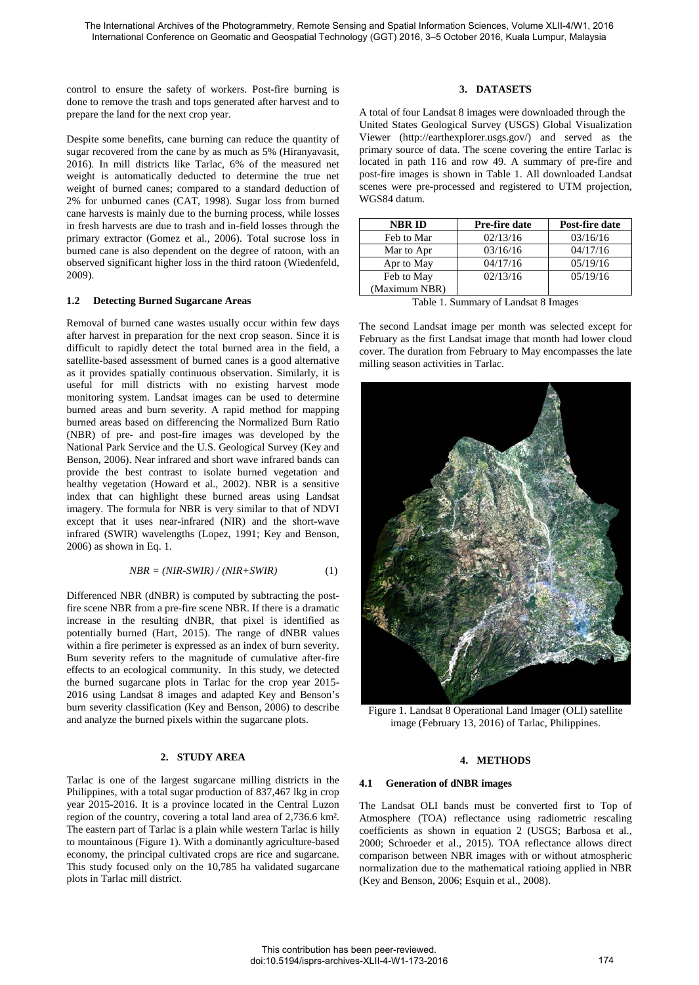control to ensure the safety of workers. Post-fire burning is done to remove the trash and tops generated after harvest and to prepare the land for the next crop year.

Despite some benefits, cane burning can reduce the quantity of sugar recovered from the cane by as much as 5% (Hiranyavasit, 2016). In mill districts like Tarlac, 6% of the measured net weight is automatically deducted to determine the true net weight of burned canes; compared to a standard deduction of 2% for unburned canes (CAT, 1998). Sugar loss from burned cane harvests is mainly due to the burning process, while losses in fresh harvests are due to trash and in-field losses through the primary extractor (Gomez et al., 2006). Total sucrose loss in burned cane is also dependent on the degree of ratoon, with an observed significant higher loss in the third ratoon (Wiedenfeld, 2009).

## **1.2 Detecting Burned Sugarcane Areas**

Removal of burned cane wastes usually occur within few days after harvest in preparation for the next crop season. Since it is difficult to rapidly detect the total burned area in the field, a satellite-based assessment of burned canes is a good alternative as it provides spatially continuous observation. Similarly, it is useful for mill districts with no existing harvest mode monitoring system. Landsat images can be used to determine burned areas and burn severity. A rapid method for mapping burned areas based on differencing the Normalized Burn Ratio (NBR) of pre- and post-fire images was developed by the National Park Service and the U.S. Geological Survey (Key and Benson, 2006). Near infrared and short wave infrared bands can provide the best contrast to isolate burned vegetation and healthy vegetation (Howard et al., 2002). NBR is a sensitive index that can highlight these burned areas using Landsat imagery. The formula for NBR is very similar to that of NDVI except that it uses near-infrared (NIR) and the short-wave infrared (SWIR) wavelengths (Lopez, 1991; Key and Benson, 2006) as shown in Eq. 1.

$$
NBR = (NIR-SWIR) / (NIR+SWIR)
$$
 (1)

Differenced NBR (dNBR) is computed by subtracting the postfire scene NBR from a pre-fire scene NBR. If there is a dramatic increase in the resulting dNBR, that pixel is identified as potentially burned (Hart, 2015). The range of dNBR values within a fire perimeter is expressed as an index of burn severity. Burn severity refers to the magnitude of cumulative after-fire effects to an ecological community. In this study, we detected the burned sugarcane plots in Tarlac for the crop year 2015- 2016 using Landsat 8 images and adapted Key and Benson's burn severity classification (Key and Benson, 2006) to describe and analyze the burned pixels within the sugarcane plots.

#### **2. STUDY AREA**

Tarlac is one of the largest sugarcane milling districts in the Philippines, with a total sugar production of 837,467 lkg in crop year 2015-2016. It is a province located in the Central Luzon region of the country, covering a total land area of 2,736.6 km². The eastern part of Tarlac is a plain while western Tarlac is hilly to mountainous (Figure 1). With a dominantly agriculture-based economy, the principal cultivated crops are rice and sugarcane. This study focused only on the 10,785 ha validated sugarcane plots in Tarlac mill district.

## **3. DATASETS**

A total of four Landsat 8 images were downloaded through the United States Geological Survey (USGS) Global Visualization Viewer (http://earthexplorer.usgs.gov/) and served as the primary source of data. The scene covering the entire Tarlac is located in path 116 and row 49. A summary of pre-fire and post-fire images is shown in Table 1. All downloaded Landsat scenes were pre-processed and registered to UTM projection, WGS84 datum.

| <b>NBRID</b>  | Pre-fire date | Post-fire date |  |
|---------------|---------------|----------------|--|
| Feb to Mar    | 02/13/16      | 03/16/16       |  |
| Mar to Apr    | 03/16/16      | 04/17/16       |  |
| Apr to May    | 04/17/16      | 05/19/16       |  |
| Feb to May    | 02/13/16      | 05/19/16       |  |
| (Maximum NBR) |               |                |  |

Table 1. Summary of Landsat 8 Images

The second Landsat image per month was selected except for February as the first Landsat image that month had lower cloud cover. The duration from February to May encompasses the late milling season activities in Tarlac.



Figure 1. Landsat 8 Operational Land Imager (OLI) satellite image (February 13, 2016) of Tarlac, Philippines.

## **4. METHODS**

#### **4.1 Generation of dNBR images**

The Landsat OLI bands must be converted first to Top of Atmosphere (TOA) reflectance using radiometric rescaling coefficients as shown in equation 2 (USGS; Barbosa et al., 2000; Schroeder et al., 2015). TOA reflectance allows direct comparison between NBR images with or without atmospheric normalization due to the mathematical ratioing applied in NBR (Key and Benson, 2006; Esquin et al., 2008).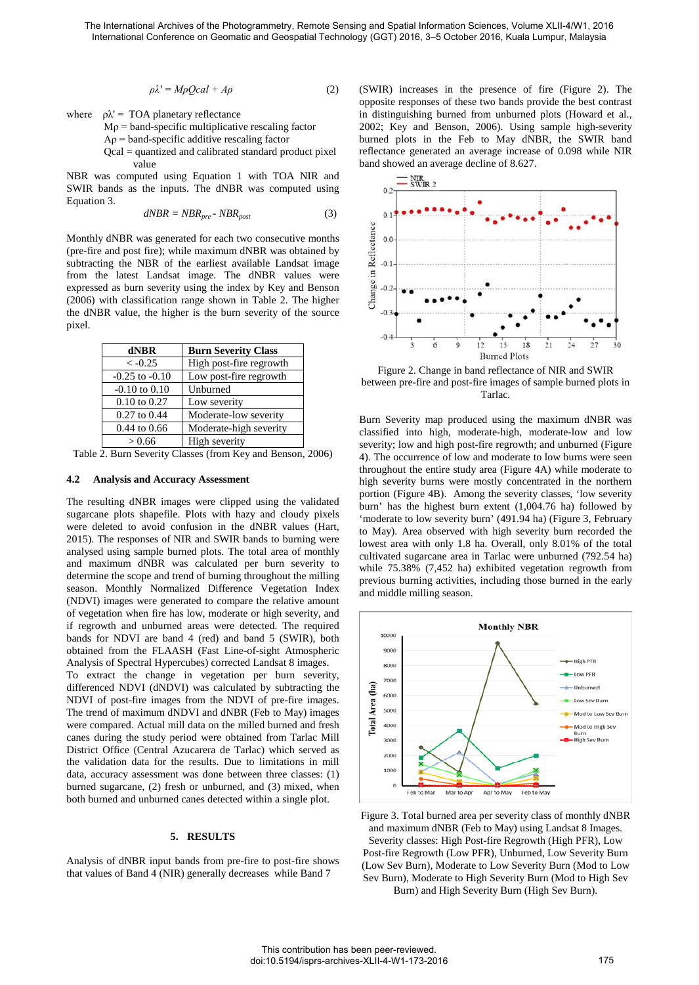$$
\rho \lambda' = M \rho Qcal + A \rho \tag{2}
$$

where  $\rho \lambda' = \text{TOA planetary reflectance}$ 

- $M\rho$  = band-specific multiplicative rescaling factor
- $A\rho$  = band-specific additive rescaling factor

 Qcal = quantized and calibrated standard product pixel value

NBR was computed using Equation 1 with TOA NIR and SWIR bands as the inputs. The dNBR was computed using Equation 3.

$$
dNBR = NBR_{pre} - NBR_{post} \tag{3}
$$

Monthly dNBR was generated for each two consecutive months (pre-fire and post fire); while maximum dNBR was obtained by subtracting the NBR of the earliest available Landsat image from the latest Landsat image. The dNBR values were expressed as burn severity using the index by Key and Benson (2006) with classification range shown in Table 2. The higher the dNBR value, the higher is the burn severity of the source pixel.

| dNBR               | <b>Burn Severity Class</b> |  |
|--------------------|----------------------------|--|
| $<-0.25$           | High post-fire regrowth    |  |
| $-0.25$ to $-0.10$ | Low post-fire regrowth     |  |
| $-0.10$ to $0.10$  | Unburned                   |  |
| $0.10$ to $0.27$   | Low severity               |  |
| $0.27$ to $0.44$   | Moderate-low severity      |  |
| 0.44 to 0.66       | Moderate-high severity     |  |
| > 0.66             | High severity              |  |

Table 2. Burn Severity Classes (from Key and Benson, 2006)

## **4.2 Analysis and Accuracy Assessment**

The resulting dNBR images were clipped using the validated sugarcane plots shapefile. Plots with hazy and cloudy pixels were deleted to avoid confusion in the dNBR values (Hart, 2015). The responses of NIR and SWIR bands to burning were analysed using sample burned plots. The total area of monthly and maximum dNBR was calculated per burn severity to determine the scope and trend of burning throughout the milling season. Monthly Normalized Difference Vegetation Index (NDVI) images were generated to compare the relative amount of vegetation when fire has low, moderate or high severity, and if regrowth and unburned areas were detected. The required bands for NDVI are band 4 (red) and band 5 (SWIR), both obtained from the FLAASH (Fast Line-of-sight Atmospheric Analysis of Spectral Hypercubes) corrected Landsat 8 images.

To extract the change in vegetation per burn severity, differenced NDVI (dNDVI) was calculated by subtracting the NDVI of post-fire images from the NDVI of pre-fire images. The trend of maximum dNDVI and dNBR (Feb to May) images were compared. Actual mill data on the milled burned and fresh canes during the study period were obtained from Tarlac Mill District Office (Central Azucarera de Tarlac) which served as the validation data for the results. Due to limitations in mill data, accuracy assessment was done between three classes: (1) burned sugarcane, (2) fresh or unburned, and (3) mixed, when both burned and unburned canes detected within a single plot.

## **5. RESULTS**

Analysis of dNBR input bands from pre-fire to post-fire shows that values of Band 4 (NIR) generally decreases while Band 7

(SWIR) increases in the presence of fire (Figure 2). The opposite responses of these two bands provide the best contrast in distinguishing burned from unburned plots (Howard et al., 2002; Key and Benson, 2006). Using sample high-severity burned plots in the Feb to May dNBR, the SWIR band reflectance generated an average increase of 0.098 while NIR band showed an average decline of 8.627.



Figure 2. Change in band reflectance of NIR and SWIR between pre-fire and post-fire images of sample burned plots in Tarlac.

Burn Severity map produced using the maximum dNBR was classified into high, moderate-high, moderate-low and low severity; low and high post-fire regrowth; and unburned (Figure 4). The occurrence of low and moderate to low burns were seen throughout the entire study area (Figure 4A) while moderate to high severity burns were mostly concentrated in the northern portion (Figure 4B). Among the severity classes, 'low severity burn' has the highest burn extent (1,004.76 ha) followed by 'moderate to low severity burn' (491.94 ha) (Figure 3, February to May). Area observed with high severity burn recorded the lowest area with only 1.8 ha. Overall, only 8.01% of the total cultivated sugarcane area in Tarlac were unburned (792.54 ha) while 75.38% (7,452 ha) exhibited vegetation regrowth from previous burning activities, including those burned in the early and middle milling season.



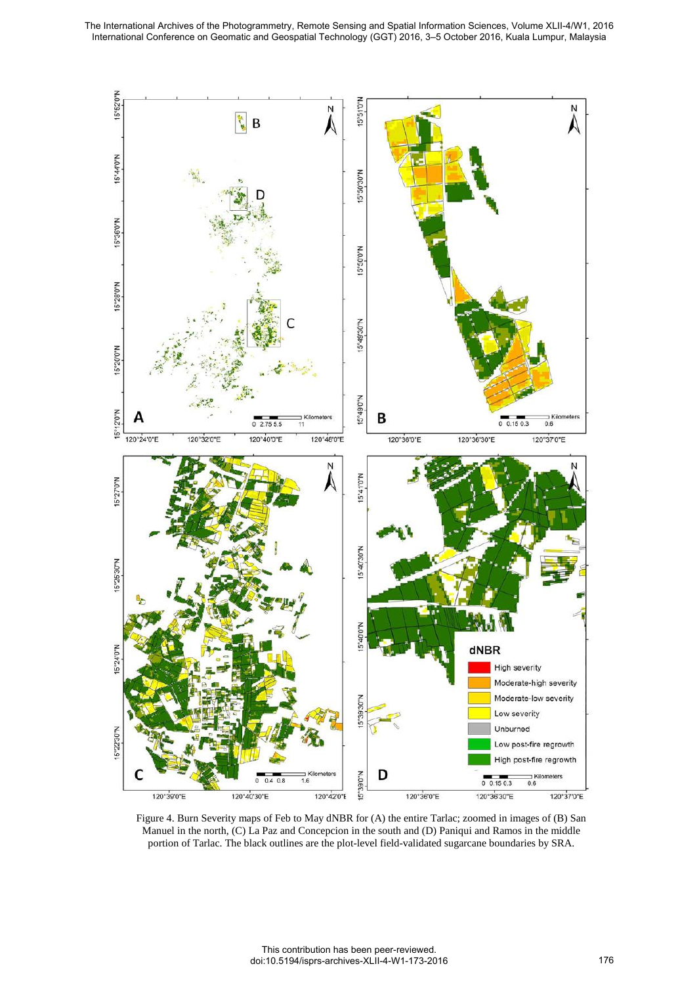

Figure 4. Burn Severity maps of Feb to May dNBR for (A) the entire Tarlac; zoomed in images of (B) San Manuel in the north, (C) La Paz and Concepcion in the south and (D) Paniqui and Ramos in the middle portion of Tarlac. The black outlines are the plot-level field-validated sugarcane boundaries by SRA.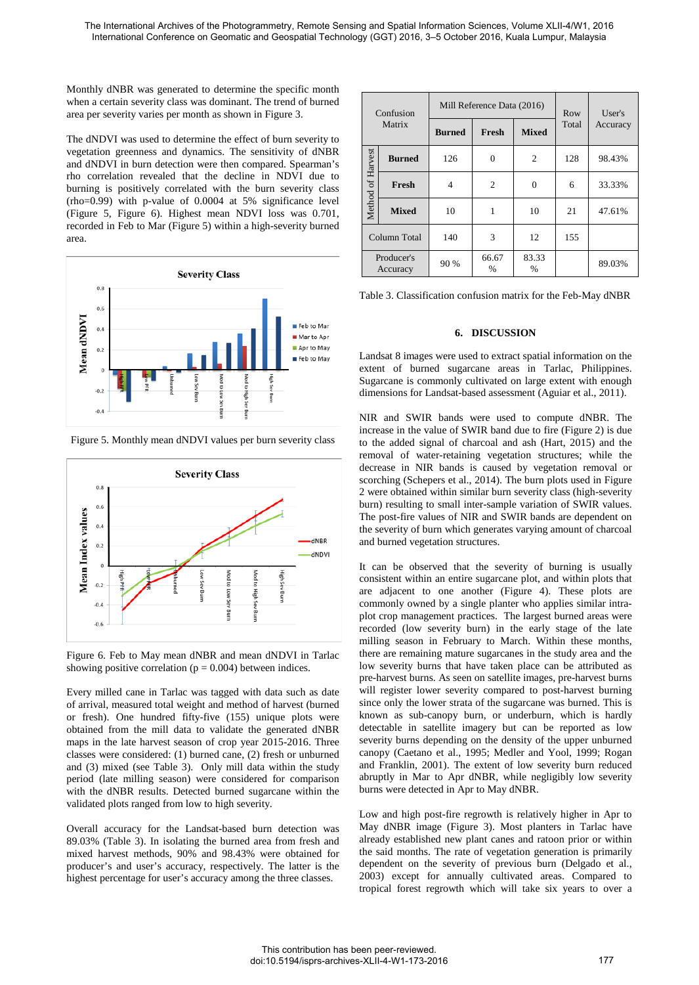Monthly dNBR was generated to determine the specific month when a certain severity class was dominant. The trend of burned area per severity varies per month as shown in Figure 3.

The dNDVI was used to determine the effect of burn severity to vegetation greenness and dynamics. The sensitivity of dNBR and dNDVI in burn detection were then compared. Spearman's rho correlation revealed that the decline in NDVI due to burning is positively correlated with the burn severity class (rho=0.99) with p-value of 0.0004 at 5% significance level (Figure 5, Figure 6). Highest mean NDVI loss was 0.701, recorded in Feb to Mar (Figure 5) within a high-severity burned area.



Figure 5. Monthly mean dNDVI values per burn severity class



Figure 6. Feb to May mean dNBR and mean dNDVI in Tarlac showing positive correlation ( $p = 0.004$ ) between indices.

Every milled cane in Tarlac was tagged with data such as date of arrival, measured total weight and method of harvest (burned or fresh). One hundred fifty-five (155) unique plots were obtained from the mill data to validate the generated dNBR maps in the late harvest season of crop year 2015-2016. Three classes were considered: (1) burned cane, (2) fresh or unburned and (3) mixed (see Table 3). Only mill data within the study period (late milling season) were considered for comparison with the dNBR results. Detected burned sugarcane within the validated plots ranged from low to high severity.

Overall accuracy for the Landsat-based burn detection was 89.03% (Table 3). In isolating the burned area from fresh and mixed harvest methods, 90% and 98.43% were obtained for producer's and user's accuracy, respectively. The latter is the highest percentage for user's accuracy among the three classes.

| Confusion<br>Matrix    |               | Mill Reference Data (2016) |                |                | Row   | User's   |
|------------------------|---------------|----------------------------|----------------|----------------|-------|----------|
|                        |               | <b>Burned</b>              | Fresh          | <b>Mixed</b>   | Total | Accuracy |
| Method of Harvest      | <b>Burned</b> | 126                        | $\theta$       | $\overline{c}$ | 128   | 98.43%   |
|                        | Fresh         | 4                          | $\overline{c}$ | $\theta$       | 6     | 33.33%   |
|                        | <b>Mixed</b>  | 10                         | 1              | 10             | 21    | 47.61%   |
| Column Total           |               | 140                        | 3              | 12             | 155   |          |
| Producer's<br>Accuracy |               | 90 %                       | 66.67<br>$\%$  | 83.33<br>$\%$  |       | 89.03%   |

Table 3. Classification confusion matrix for the Feb-May dNBR

## **6. DISCUSSION**

Landsat 8 images were used to extract spatial information on the extent of burned sugarcane areas in Tarlac, Philippines. Sugarcane is commonly cultivated on large extent with enough dimensions for Landsat-based assessment (Aguiar et al., 2011).

NIR and SWIR bands were used to compute dNBR. The increase in the value of SWIR band due to fire (Figure 2) is due to the added signal of charcoal and ash (Hart, 2015) and the removal of water-retaining vegetation structures; while the decrease in NIR bands is caused by vegetation removal or scorching (Schepers et al., 2014). The burn plots used in Figure 2 were obtained within similar burn severity class (high-severity burn) resulting to small inter-sample variation of SWIR values. The post-fire values of NIR and SWIR bands are dependent on the severity of burn which generates varying amount of charcoal and burned vegetation structures.

It can be observed that the severity of burning is usually consistent within an entire sugarcane plot, and within plots that are adjacent to one another (Figure 4). These plots are commonly owned by a single planter who applies similar intraplot crop management practices. The largest burned areas were recorded (low severity burn) in the early stage of the late milling season in February to March. Within these months, there are remaining mature sugarcanes in the study area and the low severity burns that have taken place can be attributed as pre-harvest burns. As seen on satellite images, pre-harvest burns will register lower severity compared to post-harvest burning since only the lower strata of the sugarcane was burned. This is known as sub-canopy burn, or underburn, which is hardly detectable in satellite imagery but can be reported as low severity burns depending on the density of the upper unburned canopy (Caetano et al., 1995; Medler and Yool, 1999; Rogan and Franklin, 2001). The extent of low severity burn reduced abruptly in Mar to Apr dNBR, while negligibly low severity burns were detected in Apr to May dNBR.

Low and high post-fire regrowth is relatively higher in Apr to May dNBR image (Figure 3). Most planters in Tarlac have already established new plant canes and ratoon prior or within the said months. The rate of vegetation generation is primarily dependent on the severity of previous burn (Delgado et al., 2003) except for annually cultivated areas. Compared to tropical forest regrowth which will take six years to over a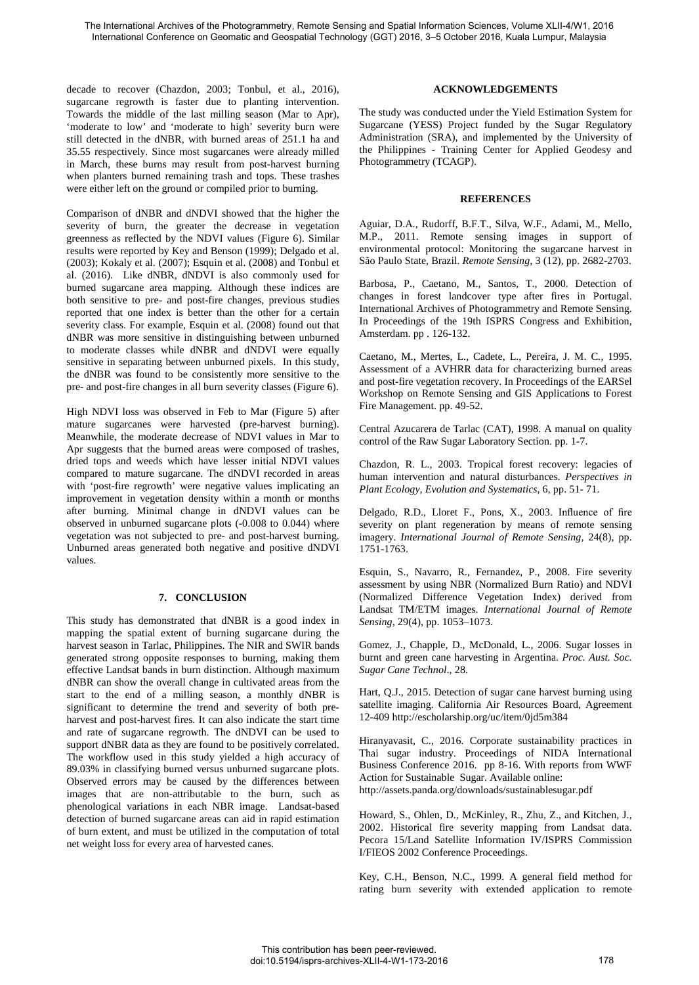decade to recover (Chazdon, 2003; Tonbul, et al., 2016), sugarcane regrowth is faster due to planting intervention. Towards the middle of the last milling season (Mar to Apr), 'moderate to low' and 'moderate to high' severity burn were still detected in the dNBR, with burned areas of 251.1 ha and 35.55 respectively. Since most sugarcanes were already milled in March, these burns may result from post-harvest burning when planters burned remaining trash and tops. These trashes were either left on the ground or compiled prior to burning.

Comparison of dNBR and dNDVI showed that the higher the severity of burn, the greater the decrease in vegetation greenness as reflected by the NDVI values (Figure 6). Similar results were reported by Key and Benson (1999); Delgado et al. (2003); Kokaly et al. (2007); Esquin et al. (2008) and Tonbul et al. (2016). Like dNBR, dNDVI is also commonly used for burned sugarcane area mapping. Although these indices are both sensitive to pre- and post-fire changes, previous studies reported that one index is better than the other for a certain severity class. For example, Esquin et al. (2008) found out that dNBR was more sensitive in distinguishing between unburned to moderate classes while dNBR and dNDVI were equally sensitive in separating between unburned pixels. In this study, the dNBR was found to be consistently more sensitive to the pre- and post-fire changes in all burn severity classes (Figure 6).

High NDVI loss was observed in Feb to Mar (Figure 5) after mature sugarcanes were harvested (pre-harvest burning). Meanwhile, the moderate decrease of NDVI values in Mar to Apr suggests that the burned areas were composed of trashes, dried tops and weeds which have lesser initial NDVI values compared to mature sugarcane. The dNDVI recorded in areas with 'post-fire regrowth' were negative values implicating an improvement in vegetation density within a month or months after burning. Minimal change in dNDVI values can be observed in unburned sugarcane plots (-0.008 to 0.044) where vegetation was not subjected to pre- and post-harvest burning. Unburned areas generated both negative and positive dNDVI values.

## **7. CONCLUSION**

This study has demonstrated that dNBR is a good index in mapping the spatial extent of burning sugarcane during the harvest season in Tarlac, Philippines. The NIR and SWIR bands generated strong opposite responses to burning, making them effective Landsat bands in burn distinction. Although maximum dNBR can show the overall change in cultivated areas from the start to the end of a milling season, a monthly dNBR is significant to determine the trend and severity of both preharvest and post-harvest fires. It can also indicate the start time and rate of sugarcane regrowth. The dNDVI can be used to support dNBR data as they are found to be positively correlated. The workflow used in this study yielded a high accuracy of 89.03% in classifying burned versus unburned sugarcane plots. Observed errors may be caused by the differences between images that are non-attributable to the burn, such as phenological variations in each NBR image. Landsat-based detection of burned sugarcane areas can aid in rapid estimation of burn extent, and must be utilized in the computation of total net weight loss for every area of harvested canes.

## **ACKNOWLEDGEMENTS**

The study was conducted under the Yield Estimation System for Sugarcane (YESS) Project funded by the Sugar Regulatory Administration (SRA), and implemented by the University of the Philippines - Training Center for Applied Geodesy and Photogrammetry (TCAGP).

# **REFERENCES**

Aguiar, D.A., Rudorff, B.F.T., Silva, W.F., Adami, M., Mello, M.P., 2011. Remote sensing images in support of environmental protocol: Monitoring the sugarcane harvest in São Paulo State, Brazil. *Remote Sensing*, 3 (12), pp. 2682-2703.

Barbosa, P., Caetano, M., Santos, T., 2000. Detection of changes in forest landcover type after fires in Portugal. International Archives of Photogrammetry and Remote Sensing. In Proceedings of the 19th ISPRS Congress and Exhibition, Amsterdam. pp . 126-132.

Caetano, M., Mertes, L., Cadete, L., Pereira, J. M. C., 1995. Assessment of a AVHRR data for characterizing burned areas and post-fire vegetation recovery. In Proceedings of the EARSel Workshop on Remote Sensing and GIS Applications to Forest Fire Management. pp. 49-52.

Central Azucarera de Tarlac (CAT), 1998. A manual on quality control of the Raw Sugar Laboratory Section. pp. 1-7.

Chazdon, R. L., 2003. Tropical forest recovery: legacies of human intervention and natural disturbances. *Perspectives in Plant Ecology, Evolution and Systematics*, 6, pp. 51- 71.

Delgado, R.D., Lloret F., Pons, X., 2003. Influence of fire severity on plant regeneration by means of remote sensing imagery. *International Journal of Remote Sensing*, 24(8), pp. 1751-1763.

Esquin, S., Navarro, R., Fernandez, P., 2008. Fire severity assessment by using NBR (Normalized Burn Ratio) and NDVI (Normalized Difference Vegetation Index) derived from Landsat TM/ETM images. *International Journal of Remote Sensing,* 29(4), pp. 1053–1073.

Gomez, J., Chapple, D., McDonald, L., 2006. Sugar losses in burnt and green cane harvesting in Argentina. *Proc. Aust. Soc. Sugar Cane Technol*., 28.

Hart, Q.J., 2015. Detection of sugar cane harvest burning using satellite imaging. California Air Resources Board, Agreement 12-409 http://escholarship.org/uc/item/0jd5m384

Hiranyavasit, C., 2016. Corporate sustainability practices in Thai sugar industry. Proceedings of NIDA International Business Conference 2016. pp 8-16. With reports from WWF Action for Sustainable Sugar. Available online: http://assets.panda.org/downloads/sustainablesugar.pdf

Howard, S., Ohlen, D., McKinley, R., Zhu, Z., and Kitchen, J., 2002. Historical fire severity mapping from Landsat data. Pecora 15/Land Satellite Information IV/ISPRS Commission I/FIEOS 2002 Conference Proceedings.

Key, C.H., Benson, N.C., 1999. A general field method for rating burn severity with extended application to remote